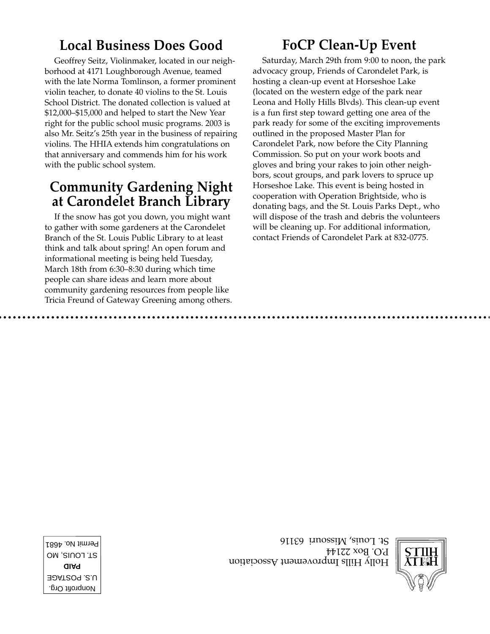# **Local Business Does Good**

Geoffrey Seitz, Violinmaker, located in our neighborhood at 4171 Loughborough Avenue, teamed with the late Norma Tomlinson, a former prominent violin teacher, to donate 40 violins to the St. Louis School District. The donated collection is valued at \$12,000–\$15,000 and helped to start the New Year right for the public school music programs. 2003 is also Mr. Seitz's 25th year in the business of repairing violins. The HHIA extends him congratulations on that anniversary and commends him for his work with the public school system.

## **Community Gardening Night at Carondelet Branch Library**

If the snow has got you down, you might want to gather with some gardeners at the Carondelet Branch of the St. Louis Public Library to at least think and talk about spring! An open forum and informational meeting is being held Tuesday, March 18th from 6:30–8:30 during which time people can share ideas and learn more about community gardening resources from people like Tricia Freund of Gateway Greening among others.

# **FoCP Clean-Up Event**

Saturday, March 29th from 9:00 to noon, the park advocacy group, Friends of Carondelet Park, is hosting a clean-up event at Horseshoe Lake (located on the western edge of the park near Leona and Holly Hills Blvds). This clean-up event is a fun first step toward getting one area of the park ready for some of the exciting improvements outlined in the proposed Master Plan for Carondelet Park, now before the City Planning Commission. So put on your work boots and gloves and bring your rakes to join other neighbors, scout groups, and park lovers to spruce up Horseshoe Lake. This event is being hosted in cooperation with Operation Brightside, who is donating bags, and the St. Louis Parks Dept., who will dispose of the trash and debris the volunteers will be cleaning up. For additional information, contact Friends of Carondelet Park at 832-0775.



 $H$ olly Hills Improvement Association P.O. Box 22144 St. Louis, Missouri 63116

Nonprofit Org. U.S. POSTAGE **PAID** ST. LOUIS, MO Permit No. 4681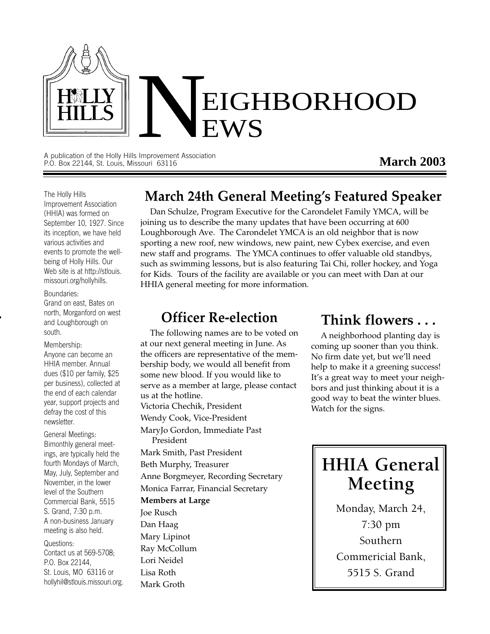

A publication of the Holly Hills Improvement Association P.O. Box 22144, St. Louis, Missouri 63116

#### **March 2003**

#### The Holly Hills Improvement Association (HHIA) was formed on September 10, 1927. Since its inception, we have held various activities and events to promote the wellbeing of Holly Hills. Our Web site is at http://stlouis. missouri.org/hollyhills.

#### Boundaries:

Grand on east, Bates on north, Morganford on west and Loughborough on south.

#### Membership:

Anyone can become an HHIA member. Annual dues (\$10 per family, \$25 per business), collected at the end of each calendar year, support projects and defray the cost of this newsletter.

General Meetings: Bimonthly general meetings, are typically held the fourth Mondays of March, May, July, September and November, in the lower level of the Southern Commercial Bank, 5515 S. Grand, 7:30 p.m. A non-business January meeting is also held.

Questions: Contact us at 569-5708; P.O. Box 22144, St. Louis, MO 63116 or hollyhil@stlouis.missouri.org.

# **March 24th General Meeting's Featured Speaker**

Dan Schulze, Program Executive for the Carondelet Family YMCA, will be joining us to describe the many updates that have been occurring at 600 Loughborough Ave. The Carondelet YMCA is an old neighbor that is now sporting a new roof, new windows, new paint, new Cybex exercise, and even new staff and programs. The YMCA continues to offer valuable old standbys, such as swimming lessons, but is also featuring Tai Chi, roller hockey, and Yoga for Kids. Tours of the facility are available or you can meet with Dan at our HHIA general meeting for more information.

#### **Officer Re-election**

The following names are to be voted on at our next general meeting in June. As the officers are representative of the membership body, we would all benefit from some new blood. If you would like to serve as a member at large, please contact us at the hotline. Victoria Chechik, President Wendy Cook, Vice-President MaryJo Gordon, Immediate Past President Mark Smith, Past President Beth Murphy, Treasurer Anne Borgmeyer, Recording Secretary Monica Farrar, Financial Secretary **Members at Large** Joe Rusch Dan Haag Mary Lipinot Ray McCollum Lori Neidel Lisa Roth Mark Groth

### **Think flowers . . .**

A neighborhood planting day is coming up sooner than you think. No firm date yet, but we'll need help to make it a greening success! It's a great way to meet your neighbors and just thinking about it is a good way to beat the winter blues. Watch for the signs.

# **HHIA General Meeting**

Monday, March 24, 7:30 pm Southern Commericial Bank, 5515 S. Grand